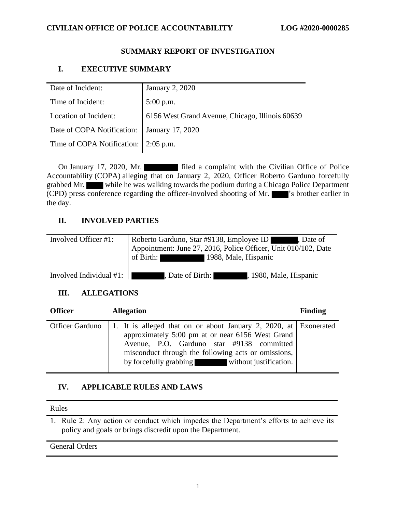## **CIVILIAN OFFICE OF POLICE ACCOUNTABILITY LOG #2020-0000285**

## **SUMMARY REPORT OF INVESTIGATION**

# **I. EXECUTIVE SUMMARY**

| Date of Incident:                           | January 2, 2020                                 |
|---------------------------------------------|-------------------------------------------------|
| Time of Incident:                           | $5:00$ p.m.                                     |
| Location of Incident:                       | 6156 West Grand Avenue, Chicago, Illinois 60639 |
| Date of COPA Notification: January 17, 2020 |                                                 |
| Time of COPA Notification: 2:05 p.m.        |                                                 |
|                                             |                                                 |

On January 17, 2020, Mr. filed a complaint with the Civilian Office of Police Accountability (COPA) alleging that on January 2, 2020, Officer Roberto Garduno forcefully grabbed Mr. while he was walking towards the podium during a Chicago Police Department (CPD) press conference regarding the officer-involved shooting of Mr.  $\blacksquare$ 's brother earlier in the day.

## **II. INVOLVED PARTIES**

| Involved Officer #1:                   | Roberto Garduno, Star #9138, Employee ID<br>, Date of<br>Appointment: June 27, 2016, Police Officer, Unit 010/102, Date<br>of Birth: 1988, Male, Hispanic |
|----------------------------------------|-----------------------------------------------------------------------------------------------------------------------------------------------------------|
| Involved Individual #1: $\blacksquare$ | Date of Birth:<br>, 1980, Male, Hispanic                                                                                                                  |

## **III. ALLEGATIONS**

| <b>Officer</b> | <b>Allegation</b>                                                                                                                                                                                                                                                                           | <b>Finding</b> |
|----------------|---------------------------------------------------------------------------------------------------------------------------------------------------------------------------------------------------------------------------------------------------------------------------------------------|----------------|
|                | Officer Garduno   1. It is alleged that on or about January 2, 2020, at Exonerated<br>approximately 5:00 pm at or near 6156 West Grand<br>Avenue, P.O. Garduno star #9138 committed<br>misconduct through the following acts or omissions,<br>by forcefully grabbing without justification. |                |

# **IV. APPLICABLE RULES AND LAWS**

#### Rules

1. Rule 2: Any action or conduct which impedes the Department's efforts to achieve its policy and goals or brings discredit upon the Department.

## General Orders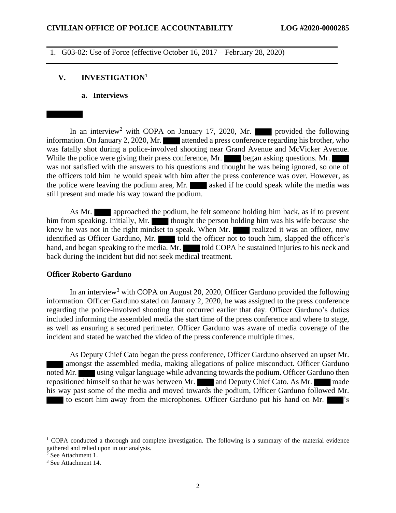1. G03-02: Use of Force (effective October 16, 2017 – February 28, 2020)

#### **V. INVESTIGATION<sup>1</sup>**

**a. Interviews**

In an interview<sup>2</sup> with COPA on January 17, 2020, Mr. provided the following information. On January 2, 2020, Mr. attended a press conference regarding his brother, who was fatally shot during a police-involved shooting near Grand Avenue and McVicker Avenue. While the police were giving their press conference, Mr. began asking questions. Mr. was not satisfied with the answers to his questions and thought he was being ignored, so one of the officers told him he would speak with him after the press conference was over. However, as the police were leaving the podium area, Mr. asked if he could speak while the media was still present and made his way toward the podium.

As Mr. **approached the podium, he felt someone holding him back, as if to prevent** him from speaking. Initially, Mr. thought the person holding him was his wife because she knew he was not in the right mindset to speak. When Mr. realized it was an officer, now identified as Officer Garduno, Mr. told the officer not to touch him, slapped the officer's hand, and began speaking to the media. Mr. told COPA he sustained injuries to his neck and back during the incident but did not seek medical treatment.

## **Officer Roberto Garduno**

In an interview<sup>3</sup> with COPA on August 20, 2020, Officer Garduno provided the following information. Officer Garduno stated on January 2, 2020, he was assigned to the press conference regarding the police-involved shooting that occurred earlier that day. Officer Garduno's duties included informing the assembled media the start time of the press conference and where to stage, as well as ensuring a secured perimeter. Officer Garduno was aware of media coverage of the incident and stated he watched the video of the press conference multiple times.

As Deputy Chief Cato began the press conference, Officer Garduno observed an upset Mr. amongst the assembled media, making allegations of police misconduct. Officer Garduno noted Mr. using vulgar language while advancing towards the podium. Officer Garduno then repositioned himself so that he was between Mr. and Deputy Chief Cato. As Mr. made his way past some of the media and moved towards the podium, Officer Garduno followed Mr. to escort him away from the microphones. Officer Garduno put his hand on Mr.

 $1$  COPA conducted a thorough and complete investigation. The following is a summary of the material evidence gathered and relied upon in our analysis.

<sup>&</sup>lt;sup>2</sup> See Attachment 1.

<sup>3</sup> See Attachment 14.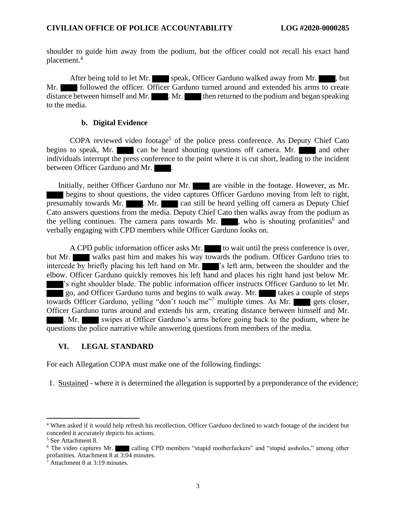shoulder to guide him away from the podium, but the officer could not recall his exact hand placement. 4

After being told to let Mr. speak, Officer Garduno walked away from Mr. Mr. **Followed the officer. Officer Garduno turned around and extended his arms to create** distance between himself and Mr.  $\blacksquare$ . Mr. then returned to the podium and began speaking to the media.

## **b. Digital Evidence**

COPA reviewed video footage<sup>5</sup> of the police press conference. As Deputy Chief Cato begins to speak, Mr. can be heard shouting questions off camera. Mr. and other individuals interrupt the press conference to the point where it is cut short, leading to the incident between Officer Garduno and Mr.

Initially, neither Officer Garduno nor Mr. **are visible in the footage. However, as Mr.** begins to shout questions, the video captures Officer Garduno moving from left to right, presumably towards Mr. **Mr.** Nr. **can still be heard yelling off camera as Deputy Chief** Cato answers questions from the media. Deputy Chief Cato then walks away from the podium as the yelling continues. The camera pans towards Mr. , who is shouting profanities<sup>6</sup> and verbally engaging with CPD members while Officer Garduno looks on.

A CPD public information officer asks Mr. to wait until the press conference is over, but Mr. walks past him and makes his way towards the podium. Officer Garduno tries to intercede by briefly placing his left hand on Mr.  $\blacksquare$  's left arm, between the shoulder and the elbow. Officer Garduno quickly removes his left hand and places his right hand just below Mr. 's right shoulder blade. The public information officer instructs Officer Garduno to let Mr. go, and Officer Garduno turns and begins to walk away. Mr. takes a couple of steps towards Officer Garduno, yelling "don't touch me"<sup>7</sup> multiple times. As Mr. gets closer, Officer Garduno turns around and extends his arm, creating distance between himself and Mr. . Mr. swipes at Officer Garduno's arms before going back to the podium, where he questions the police narrative while answering questions from members of the media.

## **VI. LEGAL STANDARD**

For each Allegation COPA must make one of the following findings:

1. Sustained - where it is determined the allegation is supported by a preponderance of the evidence;

<sup>4</sup> When asked if it would help refresh his recollection, Officer Garduno declined to watch footage of the incident but conceded it accurately depicts his actions.

<sup>5</sup> See Attachment 8.

 $6$  The video captures Mr. calling CPD members "stupid motherfuckers" and "stupid assholes," among other profanities. Attachment 8 at 3:04 minutes.

<sup>7</sup> Attachment 8 at 3:19 minutes.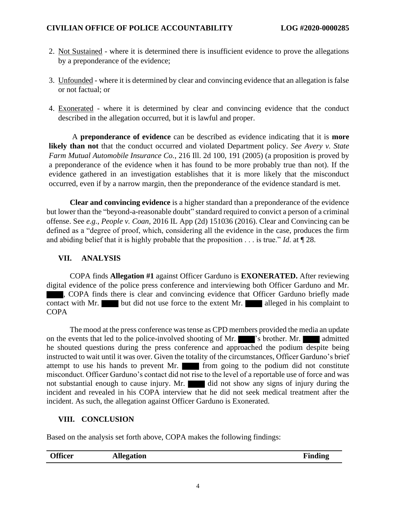- 2. Not Sustained where it is determined there is insufficient evidence to prove the allegations by a preponderance of the evidence;
- 3. Unfounded where it is determined by clear and convincing evidence that an allegation is false or not factual; or
- 4. Exonerated where it is determined by clear and convincing evidence that the conduct described in the allegation occurred, but it is lawful and proper.

A **preponderance of evidence** can be described as evidence indicating that it is **more likely than not** that the conduct occurred and violated Department policy. *See Avery v. State Farm Mutual Automobile Insurance Co.*, 216 Ill. 2d 100, 191 (2005) (a proposition is proved by a preponderance of the evidence when it has found to be more probably true than not). If the evidence gathered in an investigation establishes that it is more likely that the misconduct occurred, even if by a narrow margin, then the preponderance of the evidence standard is met.

**Clear and convincing evidence** is a higher standard than a preponderance of the evidence but lower than the "beyond-a-reasonable doubt" standard required to convict a person of a criminal offense. See *e.g.*, *People v. Coan*, 2016 IL App (2d) 151036 (2016). Clear and Convincing can be defined as a "degree of proof, which, considering all the evidence in the case, produces the firm and abiding belief that it is highly probable that the proposition . . . is true." *Id*. at ¶ 28.

# **VII. ANALYSIS**

COPA finds **Allegation #1** against Officer Garduno is **EXONERATED.** After reviewing digital evidence of the police press conference and interviewing both Officer Garduno and Mr. , COPA finds there is clear and convincing evidence that Officer Garduno briefly made contact with Mr. but did not use force to the extent Mr. alleged in his complaint to **COPA** 

The mood at the press conference was tense as CPD members provided the media an update on the events that led to the police-involved shooting of Mr.  $\blacksquare$ 's brother. Mr. admitted he shouted questions during the press conference and approached the podium despite being instructed to wait until it was over. Given the totality of the circumstances, Officer Garduno's brief attempt to use his hands to prevent Mr. **For the post** to the podium did not constitute misconduct. Officer Garduno's contact did not rise to the level of a reportable use of force and was not substantial enough to cause injury. Mr. did not show any signs of injury during the incident and revealed in his COPA interview that he did not seek medical treatment after the incident. As such, the allegation against Officer Garduno is Exonerated.

# **VIII. CONCLUSION**

Based on the analysis set forth above, COPA makes the following findings:

|  | <b>Officer</b> | Allegation | Finding |
|--|----------------|------------|---------|
|--|----------------|------------|---------|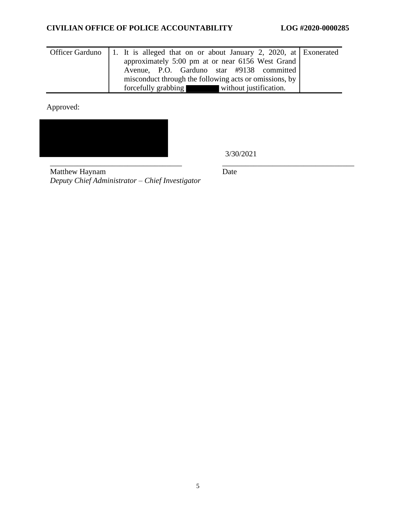# **CIVILIAN OFFICE OF POLICE ACCOUNTABILITY LOG #2020-0000285**

| Officer Garduno 1. It is alleged that on or about January 2, 2020, at Exonerated |
|----------------------------------------------------------------------------------|
| approximately 5:00 pm at or near 6156 West Grand                                 |
| Avenue, P.O. Garduno star #9138 committed                                        |
| misconduct through the following acts or omissions, by                           |
| forcefully grabbing<br>without justification.                                    |

Approved:



3/30/2021

\_\_\_\_\_\_\_\_\_\_\_\_\_\_\_\_\_\_\_\_\_\_\_\_\_\_\_\_\_\_\_\_\_\_ \_\_\_\_\_\_\_\_\_\_\_\_\_\_\_\_\_\_\_\_\_\_\_\_\_\_\_\_\_\_\_\_\_\_ Matthew Haynam *Deputy Chief Administrator – Chief Investigator*

Date